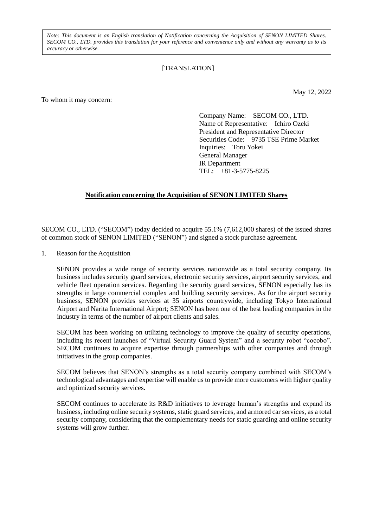*Note: This document is an English translation of Notification concerning the Acquisition of SENON LIMITED Shares. SECOM CO., LTD. provides this translation for your reference and convenience only and without any warranty as to its accuracy or otherwise.*

## [TRANSLATION]

To whom it may concern:

May 12, 2022

Company Name: SECOM CO., LTD. Name of Representative: Ichiro Ozeki President and Representative Director Securities Code: 9735 TSE Prime Market Inquiries: Toru Yokei General Manager IR Department TEL: +81-3-5775-8225

## **Notification concerning the Acquisition of SENON LIMITED Shares**

SECOM CO., LTD. ("SECOM") today decided to acquire 55.1% (7,612,000 shares) of the issued shares of common stock of SENON LIMITED ("SENON") and signed a stock purchase agreement.

1. Reason for the Acquisition

SENON provides a wide range of security services nationwide as a total security company. Its business includes security guard services, electronic security services, airport security services, and vehicle fleet operation services. Regarding the security guard services, SENON especially has its strengths in large commercial complex and building security services. As for the airport security business, SENON provides services at 35 airports countrywide, including Tokyo International Airport and Narita International Airport; SENON has been one of the best leading companies in the industry in terms of the number of airport clients and sales.

SECOM has been working on utilizing technology to improve the quality of security operations, including its recent launches of "Virtual Security Guard System" and a security robot "cocobo". SECOM continues to acquire expertise through partnerships with other companies and through initiatives in the group companies.

SECOM believes that SENON's strengths as a total security company combined with SECOM's technological advantages and expertise will enable us to provide more customers with higher quality and optimized security services.

SECOM continues to accelerate its R&D initiatives to leverage human's strengths and expand its business, including online security systems, static guard services, and armored car services, as a total security company, considering that the complementary needs for static guarding and online security systems will grow further.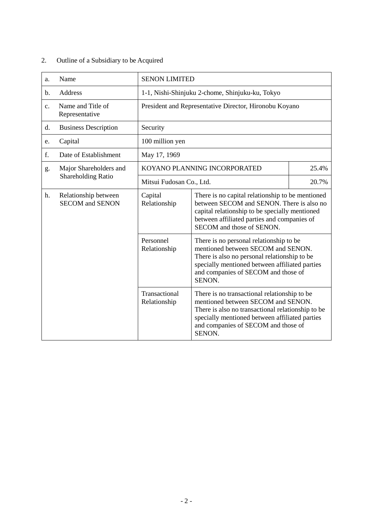# 2. Outline of a Subsidiary to be Acquired

| a.                        | Name                                                  | <b>SENON LIMITED</b>                                   |                                                                                                                                                                                                                                            |       |
|---------------------------|-------------------------------------------------------|--------------------------------------------------------|--------------------------------------------------------------------------------------------------------------------------------------------------------------------------------------------------------------------------------------------|-------|
| b.                        | Address                                               | 1-1, Nishi-Shinjuku 2-chome, Shinjuku-ku, Tokyo        |                                                                                                                                                                                                                                            |       |
| c.                        | Name and Title of<br>Representative                   | President and Representative Director, Hironobu Koyano |                                                                                                                                                                                                                                            |       |
| d.                        | <b>Business Description</b>                           | Security                                               |                                                                                                                                                                                                                                            |       |
| e.                        | Capital                                               | 100 million yen                                        |                                                                                                                                                                                                                                            |       |
| f.                        | Date of Establishment                                 | May 17, 1969                                           |                                                                                                                                                                                                                                            |       |
| g.                        | Major Shareholders and                                | KOYANO PLANNING INCORPORATED<br>25.4%                  |                                                                                                                                                                                                                                            |       |
| <b>Shareholding Ratio</b> |                                                       | Mitsui Fudosan Co., Ltd.                               |                                                                                                                                                                                                                                            | 20.7% |
| h.                        | Relationship between<br><b>SECOM</b> and <b>SENON</b> | Capital<br>Relationship                                | There is no capital relationship to be mentioned<br>between SECOM and SENON. There is also no<br>capital relationship to be specially mentioned<br>between affiliated parties and companies of<br>SECOM and those of SENON.                |       |
|                           |                                                       | Personnel<br>Relationship                              | There is no personal relationship to be<br>mentioned between SECOM and SENON.<br>There is also no personal relationship to be<br>specially mentioned between affiliated parties<br>and companies of SECOM and those of<br>SENON.           |       |
|                           |                                                       | Transactional<br>Relationship                          | There is no transactional relationship to be<br>mentioned between SECOM and SENON.<br>There is also no transactional relationship to be<br>specially mentioned between affiliated parties<br>and companies of SECOM and those of<br>SENON. |       |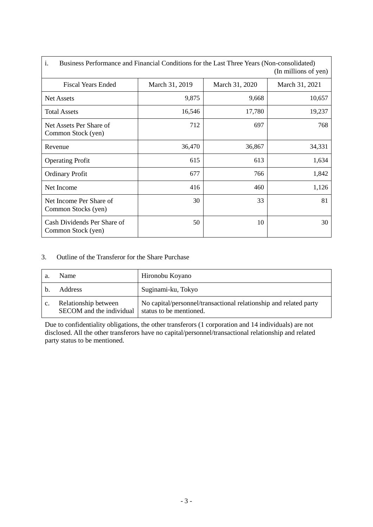| i.<br>Business Performance and Financial Conditions for the Last Three Years (Non-consolidated)<br>(In millions of yen) |                |                |                |  |
|-------------------------------------------------------------------------------------------------------------------------|----------------|----------------|----------------|--|
| <b>Fiscal Years Ended</b>                                                                                               | March 31, 2019 | March 31, 2020 | March 31, 2021 |  |
| <b>Net Assets</b>                                                                                                       | 9,875          | 9,668          | 10,657         |  |
| <b>Total Assets</b>                                                                                                     | 16,546         | 17,780         | 19,237         |  |
| Net Assets Per Share of<br>Common Stock (yen)                                                                           | 712            | 697            | 768            |  |
| Revenue                                                                                                                 | 36,470         | 36,867         | 34,331         |  |
| <b>Operating Profit</b>                                                                                                 | 615            | 613            | 1,634          |  |
| <b>Ordinary Profit</b>                                                                                                  | 677            | 766            | 1,842          |  |
| Net Income                                                                                                              | 416            | 460            | 1,126          |  |
| Net Income Per Share of<br>Common Stocks (yen)                                                                          | 30             | 33             | 81             |  |
| Cash Dividends Per Share of<br>Common Stock (yen)                                                                       | 50             | 10             | 30             |  |

## 3. Outline of the Transferor for the Share Purchase

| a.             | <b>Name</b>                                      | Hironobu Koyano                                                                              |
|----------------|--------------------------------------------------|----------------------------------------------------------------------------------------------|
|                | <b>Address</b>                                   | Suginami-ku, Tokyo                                                                           |
| $\mathbf{c}$ . | Relationship between<br>SECOM and the individual | No capital/personnel/transactional relationship and related party<br>status to be mentioned. |

Due to confidentiality obligations, the other transferors (1 corporation and 14 individuals) are not disclosed. All the other transferors have no capital/personnel/transactional relationship and related party status to be mentioned.